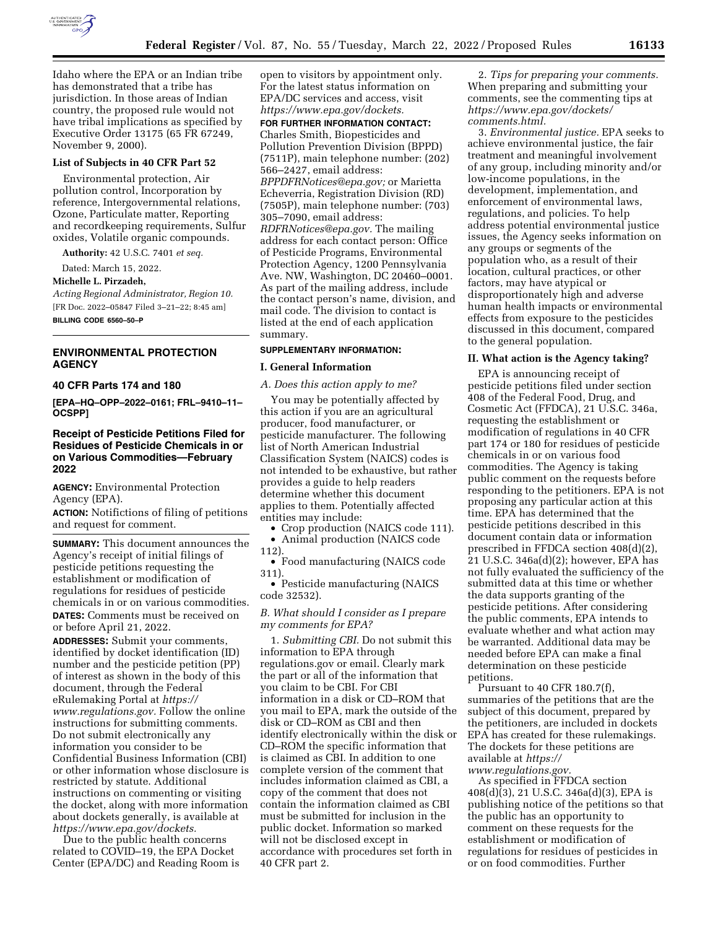

Idaho where the EPA or an Indian tribe has demonstrated that a tribe has jurisdiction. In those areas of Indian country, the proposed rule would not have tribal implications as specified by Executive Order 13175 (65 FR 67249, November 9, 2000).

## **List of Subjects in 40 CFR Part 52**

Environmental protection, Air pollution control, Incorporation by reference, Intergovernmental relations, Ozone, Particulate matter, Reporting and recordkeeping requirements, Sulfur oxides, Volatile organic compounds.

**Authority:** 42 U.S.C. 7401 *et seq.* 

Dated: March 15, 2022.

**Michelle L. Pirzadeh,** 

*Acting Regional Administrator, Region 10.*  [FR Doc. 2022–05847 Filed 3–21–22; 8:45 am] **BILLING CODE 6560–50–P** 

## **ENVIRONMENTAL PROTECTION AGENCY**

## **40 CFR Parts 174 and 180**

**[EPA–HQ–OPP–2022–0161; FRL–9410–11– OCSPP]** 

## **Receipt of Pesticide Petitions Filed for Residues of Pesticide Chemicals in or on Various Commodities—February 2022**

**AGENCY:** Environmental Protection Agency (EPA).

**ACTION:** Notifictions of filing of petitions and request for comment.

**SUMMARY:** This document announces the Agency's receipt of initial filings of pesticide petitions requesting the establishment or modification of regulations for residues of pesticide chemicals in or on various commodities. **DATES:** Comments must be received on or before April 21, 2022.

**ADDRESSES:** Submit your comments, identified by docket identification (ID) number and the pesticide petition (PP) of interest as shown in the body of this document, through the Federal eRulemaking Portal at *[https://](https://www.regulations.gov) [www.regulations.gov.](https://www.regulations.gov)* Follow the online instructions for submitting comments. Do not submit electronically any information you consider to be Confidential Business Information (CBI) or other information whose disclosure is restricted by statute. Additional instructions on commenting or visiting the docket, along with more information about dockets generally, is available at *[https://www.epa.gov/dockets.](https://www.epa.gov/dockets)* 

Due to the public health concerns related to COVID–19, the EPA Docket Center (EPA/DC) and Reading Room is

open to visitors by appointment only. For the latest status information on EPA/DC services and access, visit *[https://www.epa.gov/dockets.](https://www.epa.gov/dockets)*  **FOR FURTHER INFORMATION CONTACT:**  Charles Smith, Biopesticides and Pollution Prevention Division (BPPD) (7511P), main telephone number: (202) 566–2427, email address: *[BPPDFRNotices@epa.gov;](mailto:BPPDFRNotices@epa.gov)* or Marietta Echeverria, Registration Division (RD) (7505P), main telephone number: (703) 305–7090, email address: *[RDFRNotices@epa.gov.](mailto:RDFRNotices@epa.gov)* The mailing address for each contact person: Office of Pesticide Programs, Environmental Protection Agency, 1200 Pennsylvania Ave. NW, Washington, DC 20460–0001. As part of the mailing address, include the contact person's name, division, and mail code. The division to contact is listed at the end of each application summary.

## **SUPPLEMENTARY INFORMATION:**

## **I. General Information**

*A. Does this action apply to me?* 

You may be potentially affected by this action if you are an agricultural producer, food manufacturer, or pesticide manufacturer. The following list of North American Industrial Classification System (NAICS) codes is not intended to be exhaustive, but rather provides a guide to help readers determine whether this document applies to them. Potentially affected entities may include:

• Crop production (NAICS code 111). • Animal production (NAICS code

112).

• Food manufacturing (NAICS code 311).

• Pesticide manufacturing (NAICS code 32532).

## *B. What should I consider as I prepare my comments for EPA?*

1. *Submitting CBI.* Do not submit this information to EPA through regulations.gov or email. Clearly mark the part or all of the information that you claim to be CBI. For CBI information in a disk or CD–ROM that you mail to EPA, mark the outside of the disk or CD–ROM as CBI and then identify electronically within the disk or CD–ROM the specific information that is claimed as CBI. In addition to one complete version of the comment that includes information claimed as CBI, a copy of the comment that does not contain the information claimed as CBI must be submitted for inclusion in the public docket. Information so marked will not be disclosed except in accordance with procedures set forth in 40 CFR part 2.

2. *Tips for preparing your comments.*  When preparing and submitting your comments, see the commenting tips at *[https://www.epa.gov/dockets/](https://www.epa.gov/dockets/comments.html)  [comments.html.](https://www.epa.gov/dockets/comments.html)* 

3. *Environmental justice.* EPA seeks to achieve environmental justice, the fair treatment and meaningful involvement of any group, including minority and/or low-income populations, in the development, implementation, and enforcement of environmental laws, regulations, and policies. To help address potential environmental justice issues, the Agency seeks information on any groups or segments of the population who, as a result of their location, cultural practices, or other factors, may have atypical or disproportionately high and adverse human health impacts or environmental effects from exposure to the pesticides discussed in this document, compared to the general population.

#### **II. What action is the Agency taking?**

EPA is announcing receipt of pesticide petitions filed under section 408 of the Federal Food, Drug, and Cosmetic Act (FFDCA), 21 U.S.C. 346a, requesting the establishment or modification of regulations in 40 CFR part 174 or 180 for residues of pesticide chemicals in or on various food commodities. The Agency is taking public comment on the requests before responding to the petitioners. EPA is not proposing any particular action at this time. EPA has determined that the pesticide petitions described in this document contain data or information prescribed in FFDCA section 408(d)(2), 21 U.S.C. 346a(d)(2); however, EPA has not fully evaluated the sufficiency of the submitted data at this time or whether the data supports granting of the pesticide petitions. After considering the public comments, EPA intends to evaluate whether and what action may be warranted. Additional data may be needed before EPA can make a final determination on these pesticide petitions.

Pursuant to 40 CFR 180.7(f), summaries of the petitions that are the subject of this document, prepared by the petitioners, are included in dockets EPA has created for these rulemakings. The dockets for these petitions are available at *[https://](https://www.regulations.gov) [www.regulations.gov.](https://www.regulations.gov)* 

As specified in FFDCA section 408(d)(3), 21 U.S.C. 346a(d)(3), EPA is publishing notice of the petitions so that the public has an opportunity to comment on these requests for the establishment or modification of regulations for residues of pesticides in or on food commodities. Further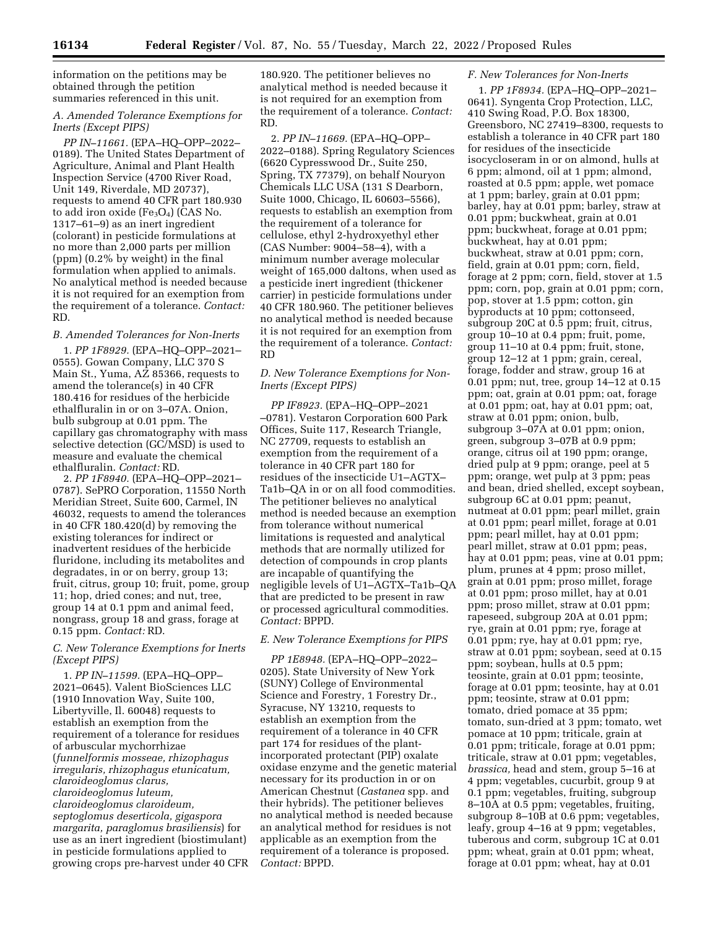information on the petitions may be obtained through the petition summaries referenced in this unit.

# *A. Amended Tolerance Exemptions for Inerts (Except PIPS)*

*PP IN–11661.* (EPA–HQ–OPP–2022– 0189). The United States Department of Agriculture, Animal and Plant Health Inspection Service (4700 River Road, Unit 149, Riverdale, MD 20737), requests to amend 40 CFR part 180.930 to add iron oxide  $(Fe<sub>3</sub>O<sub>4</sub>)$  (CAS No. 1317–61–9) as an inert ingredient (colorant) in pesticide formulations at no more than 2,000 parts per million (ppm) (0.2% by weight) in the final formulation when applied to animals. No analytical method is needed because it is not required for an exemption from the requirement of a tolerance. *Contact:*  RD.

# *B. Amended Tolerances for Non-Inerts*

1. *PP 1F8929.* (EPA–HQ–OPP–2021– 0555). Gowan Company, LLC 370 S Main St., Yuma, AZ 85366, requests to amend the tolerance(s) in 40 CFR 180.416 for residues of the herbicide ethalfluralin in or on 3–07A. Onion, bulb subgroup at 0.01 ppm. The capillary gas chromatography with mass selective detection (GC/MSD) is used to measure and evaluate the chemical ethalfluralin. *Contact:* RD.

2. *PP 1F8940.* (EPA–HQ–OPP–2021– 0787). SePRO Corporation, 11550 North Meridian Street, Suite 600, Carmel, IN 46032, requests to amend the tolerances in 40 CFR 180.420(d) by removing the existing tolerances for indirect or inadvertent residues of the herbicide fluridone, including its metabolites and degradates, in or on berry, group 13; fruit, citrus, group 10; fruit, pome, group 11; hop, dried cones; and nut, tree, group 14 at 0.1 ppm and animal feed, nongrass, group 18 and grass, forage at 0.15 ppm. *Contact:* RD.

# *C. New Tolerance Exemptions for Inerts (Except PIPS)*

1. *PP IN–11599.* (EPA–HQ–OPP– 2021–0645). Valent BioSciences LLC (1910 Innovation Way, Suite 100, Libertyville, Il. 60048) requests to establish an exemption from the requirement of a tolerance for residues of arbuscular mychorrhizae (*funnelformis mosseae, rhizophagus irregularis, rhizophagus etunicatum, claroideoglomus clarus, claroideoglomus luteum, claroideoglomus claroideum, septoglomus deserticola, gigaspora margarita, paraglomus brasiliensis*) for use as an inert ingredient (biostimulant) in pesticide formulations applied to growing crops pre-harvest under 40 CFR 180.920. The petitioner believes no analytical method is needed because it is not required for an exemption from the requirement of a tolerance. *Contact:*  RD.

2. *PP IN–11669.* (EPA–HQ–OPP– 2022–0188). Spring Regulatory Sciences (6620 Cypresswood Dr., Suite 250, Spring, TX 77379), on behalf Nouryon Chemicals LLC USA (131 S Dearborn, Suite 1000, Chicago, IL 60603–5566), requests to establish an exemption from the requirement of a tolerance for cellulose, ethyl 2-hydroxyethyl ether (CAS Number: 9004–58–4), with a minimum number average molecular weight of 165,000 daltons, when used as a pesticide inert ingredient (thickener carrier) in pesticide formulations under 40 CFR 180.960. The petitioner believes no analytical method is needed because it is not required for an exemption from the requirement of a tolerance. *Contact:*  RD

# *D. New Tolerance Exemptions for Non-Inerts (Except PIPS)*

*PP IF8923.* (EPA–HQ–OPP–2021 –0781). Vestaron Corporation 600 Park Offices, Suite 117, Research Triangle, NC 27709, requests to establish an exemption from the requirement of a tolerance in 40 CFR part 180 for residues of the insecticide U1–AGTX– Ta1b–QA in or on all food commodities. The petitioner believes no analytical method is needed because an exemption from tolerance without numerical limitations is requested and analytical methods that are normally utilized for detection of compounds in crop plants are incapable of quantifying the negligible levels of U1–AGTX–Ta1b–QA that are predicted to be present in raw or processed agricultural commodities. *Contact:* BPPD.

# *E. New Tolerance Exemptions for PIPS*

*PP 1E8948.* (EPA–HQ–OPP–2022– 0205). State University of New York (SUNY) College of Environmental Science and Forestry, 1 Forestry Dr., Syracuse, NY 13210, requests to establish an exemption from the requirement of a tolerance in 40 CFR part 174 for residues of the plantincorporated protectant (PIP) oxalate oxidase enzyme and the genetic material necessary for its production in or on American Chestnut (*Castanea* spp. and their hybrids). The petitioner believes no analytical method is needed because an analytical method for residues is not applicable as an exemption from the requirement of a tolerance is proposed. *Contact:* BPPD.

# *F. New Tolerances for Non-Inerts*

1. *PP 1F8934.* (EPA–HQ–OPP–2021– 0641). Syngenta Crop Protection, LLC, 410 Swing Road, P.O. Box 18300, Greensboro, NC 27419–8300, requests to establish a tolerance in 40 CFR part 180 for residues of the insecticide isocycloseram in or on almond, hulls at 6 ppm; almond, oil at 1 ppm; almond, roasted at 0.5 ppm; apple, wet pomace at 1 ppm; barley, grain at 0.01 ppm; barley, hay at 0.01 ppm; barley, straw at 0.01 ppm; buckwheat, grain at 0.01 ppm; buckwheat, forage at 0.01 ppm; buckwheat, hay at 0.01 ppm; buckwheat, straw at 0.01 ppm; corn, field, grain at 0.01 ppm; corn, field, forage at 2 ppm; corn, field, stover at 1.5 ppm; corn, pop, grain at 0.01 ppm; corn, pop, stover at 1.5 ppm; cotton, gin byproducts at 10 ppm; cottonseed, subgroup 20C at 0.5 ppm; fruit, citrus, group 10–10 at 0.4 ppm; fruit, pome, group 11–10 at 0.4 ppm; fruit, stone, group 12–12 at 1 ppm; grain, cereal, forage, fodder and straw, group 16 at 0.01 ppm; nut, tree, group 14–12 at 0.15 ppm; oat, grain at 0.01 ppm; oat, forage at 0.01 ppm; oat, hay at 0.01 ppm; oat, straw at 0.01 ppm; onion, bulb, subgroup 3–07A at 0.01 ppm; onion, green, subgroup 3–07B at 0.9 ppm; orange, citrus oil at 190 ppm; orange, dried pulp at 9 ppm; orange, peel at 5 ppm; orange, wet pulp at 3 ppm; peas and bean, dried shelled, except soybean, subgroup 6C at 0.01 ppm; peanut, nutmeat at 0.01 ppm; pearl millet, grain at 0.01 ppm; pearl millet, forage at 0.01 ppm; pearl millet, hay at 0.01 ppm; pearl millet, straw at 0.01 ppm; peas, hay at 0.01 ppm; peas, vine at 0.01 ppm; plum, prunes at 4 ppm; proso millet, grain at 0.01 ppm; proso millet, forage at 0.01 ppm; proso millet, hay at 0.01 ppm; proso millet, straw at 0.01 ppm; rapeseed, subgroup 20A at 0.01 ppm; rye, grain at 0.01 ppm; rye, forage at 0.01 ppm; rye, hay at 0.01 ppm; rye, straw at 0.01 ppm; soybean, seed at 0.15 ppm; soybean, hulls at 0.5 ppm; teosinte, grain at 0.01 ppm; teosinte, forage at 0.01 ppm; teosinte, hay at 0.01 ppm; teosinte, straw at 0.01 ppm; tomato, dried pomace at 35 ppm; tomato, sun-dried at 3 ppm; tomato, wet pomace at 10 ppm; triticale, grain at 0.01 ppm; triticale, forage at 0.01 ppm; triticale, straw at 0.01 ppm; vegetables, *brassica,* head and stem, group 5–16 at 4 ppm; vegetables, cucurbit, group 9 at 0.1 ppm; vegetables, fruiting, subgroup 8–10A at 0.5 ppm; vegetables, fruiting, subgroup 8–10B at 0.6 ppm; vegetables, leafy, group 4–16 at 9 ppm; vegetables, tuberous and corm, subgroup 1C at 0.01 ppm; wheat, grain at 0.01 ppm; wheat, forage at 0.01 ppm; wheat, hay at 0.01